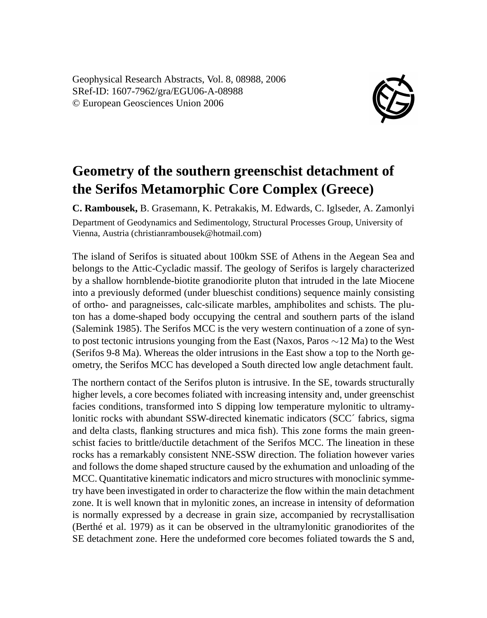Geophysical Research Abstracts, Vol. 8, 08988, 2006 SRef-ID: 1607-7962/gra/EGU06-A-08988 © European Geosciences Union 2006



## **Geometry of the southern greenschist detachment of the Serifos Metamorphic Core Complex (Greece)**

**C. Rambousek,** B. Grasemann, K. Petrakakis, M. Edwards, C. Iglseder, A. Zamonlyi Department of Geodynamics and Sedimentology, Structural Processes Group, University of Vienna, Austria (christianrambousek@hotmail.com)

The island of Serifos is situated about 100km SSE of Athens in the Aegean Sea and belongs to the Attic-Cycladic massif. The geology of Serifos is largely characterized by a shallow hornblende-biotite granodiorite pluton that intruded in the late Miocene into a previously deformed (under blueschist conditions) sequence mainly consisting of ortho- and paragneisses, calc-silicate marbles, amphibolites and schists. The pluton has a dome-shaped body occupying the central and southern parts of the island (Salemink 1985). The Serifos MCC is the very western continuation of a zone of synto post tectonic intrusions younging from the East (Naxos, Paros ∼12 Ma) to the West (Serifos 9-8 Ma). Whereas the older intrusions in the East show a top to the North geometry, the Serifos MCC has developed a South directed low angle detachment fault.

The northern contact of the Serifos pluton is intrusive. In the SE, towards structurally higher levels, a core becomes foliated with increasing intensity and, under greenschist facies conditions, transformed into S dipping low temperature mylonitic to ultramylonitic rocks with abundant SSW-directed kinematic indicators (SCC´ fabrics, sigma and delta clasts, flanking structures and mica fish). This zone forms the main greenschist facies to brittle/ductile detachment of the Serifos MCC. The lineation in these rocks has a remarkably consistent NNE-SSW direction. The foliation however varies and follows the dome shaped structure caused by the exhumation and unloading of the MCC. Quantitative kinematic indicators and micro structures with monoclinic symmetry have been investigated in order to characterize the flow within the main detachment zone. It is well known that in mylonitic zones, an increase in intensity of deformation is normally expressed by a decrease in grain size, accompanied by recrystallisation (Berthé et al. 1979) as it can be observed in the ultramylonitic granodiorites of the SE detachment zone. Here the undeformed core becomes foliated towards the S and,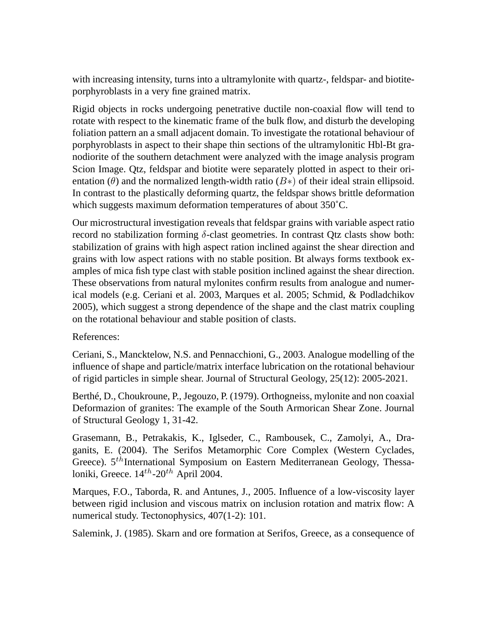with increasing intensity, turns into a ultramylonite with quartz-, feldspar- and biotiteporphyroblasts in a very fine grained matrix.

Rigid objects in rocks undergoing penetrative ductile non-coaxial flow will tend to rotate with respect to the kinematic frame of the bulk flow, and disturb the developing foliation pattern an a small adjacent domain. To investigate the rotational behaviour of porphyroblasts in aspect to their shape thin sections of the ultramylonitic Hbl-Bt granodiorite of the southern detachment were analyzed with the image analysis program Scion Image. Qtz, feldspar and biotite were separately plotted in aspect to their orientation ( $\theta$ ) and the normalized length-width ratio ( $B*$ ) of their ideal strain ellipsoid. In contrast to the plastically deforming quartz, the feldspar shows brittle deformation which suggests maximum deformation temperatures of about 350˚C.

Our microstructural investigation reveals that feldspar grains with variable aspect ratio record no stabilization forming  $\delta$ -clast geometries. In contrast Qtz clasts show both: stabilization of grains with high aspect ration inclined against the shear direction and grains with low aspect rations with no stable position. Bt always forms textbook examples of mica fish type clast with stable position inclined against the shear direction. These observations from natural mylonites confirm results from analogue and numerical models (e.g. Ceriani et al. 2003, Marques et al. 2005; Schmid, & Podladchikov 2005), which suggest a strong dependence of the shape and the clast matrix coupling on the rotational behaviour and stable position of clasts.

References:

Ceriani, S., Mancktelow, N.S. and Pennacchioni, G., 2003. Analogue modelling of the influence of shape and particle/matrix interface lubrication on the rotational behaviour of rigid particles in simple shear. Journal of Structural Geology, 25(12): 2005-2021.

Berthé, D., Choukroune, P., Jegouzo, P. (1979). Orthogneiss, mylonite and non coaxial Deformazion of granites: The example of the South Armorican Shear Zone. Journal of Structural Geology 1, 31-42.

Grasemann, B., Petrakakis, K., Iglseder, C., Rambousek, C., Zamolyi, A., Draganits, E. (2004). The Serifos Metamorphic Core Complex (Western Cyclades, Greece).  $5<sup>th</sup>$ International Symposium on Eastern Mediterranean Geology, Thessaloniki, Greece.  $14^{th}$ -20<sup>th</sup> April 2004.

Marques, F.O., Taborda, R. and Antunes, J., 2005. Influence of a low-viscosity layer between rigid inclusion and viscous matrix on inclusion rotation and matrix flow: A numerical study. Tectonophysics, 407(1-2): 101.

Salemink, J. (1985). Skarn and ore formation at Serifos, Greece, as a consequence of